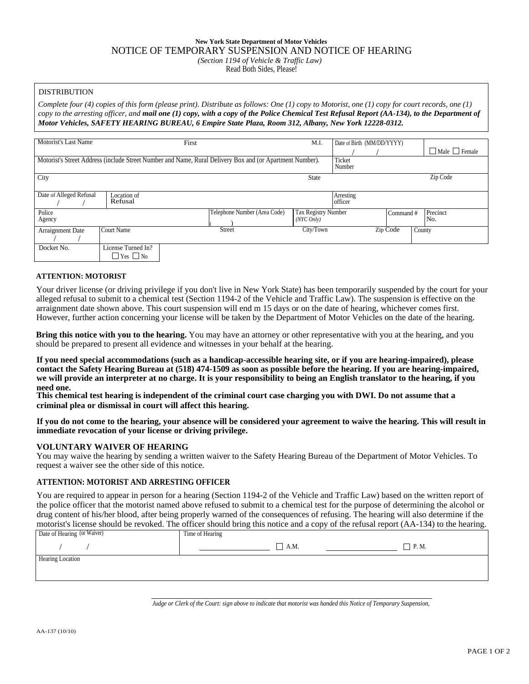# **New York State Department of Motor Vehicles** NOTICE OF TEMPORARY SUSPENSION AND NOTICE OF HEARING *(Section 1194 of Vehicle & Traffic Law)*

Read Both Sides, Please!

# DISTRIBUTION

*Complete four (4) copies of this form (please print). Distribute as follows: One (1) copy to Motorist, one (1) copy for court records, one (1) copy to the arresting officer, and mail one (1) copy, with a copy of the Police Chemical Test Refusal Report (AA-134), to the Department of Motor Vehicles, SAFETY HEARING BUREAU, 6 Empire State Plaza, Room 312, Albany, New York 12228-0312.*

| Motorist's Last Name                                                                                     |                                            | First                        | M.I.                                | Date of Birth (MM/DD/YYYY) |          |                           |
|----------------------------------------------------------------------------------------------------------|--------------------------------------------|------------------------------|-------------------------------------|----------------------------|----------|---------------------------|
|                                                                                                          |                                            |                              |                                     |                            |          | $\Box$ Male $\Box$ Female |
| Motorist's Street Address (include Street Number and Name, Rural Delivery Box and (or Apartment Number). | Ticket<br>Number                           |                              |                                     |                            |          |                           |
| City                                                                                                     |                                            |                              | <b>State</b>                        |                            |          | Zip Code                  |
| Date of Alleged Refusal                                                                                  | Location of<br>Refusal                     |                              |                                     | Arresting<br>l officer     |          |                           |
| Police<br>Agency                                                                                         |                                            | Telephone Number (Area Code) | Tax Registry Number<br>$(NYC$ Only) |                            | Command# | Precinct<br>No.           |
| Arraignment Date                                                                                         | Court Name                                 | Street                       | City/Town                           |                            | Zip Code | County                    |
| Docket No.                                                                                               | License Turned In?<br>$\Box$ Yes $\Box$ No |                              |                                     |                            |          |                           |

## **ATTENTION: MOTORIST**

Your driver license (or driving privilege if you don't live in New York State) has been temporarily suspended by the court for your alleged refusal to submit to a chemical test (Section 1194-2 of the Vehicle and Traffic Law). The suspension is effective on the arraignment date shown above. This court suspension will end m 15 days or on the date of hearing, whichever comes first. However, further action concerning your license will be taken by the Department of Motor Vehicles on the date of the hearing.

**Bring this notice with you to the hearing.** You may have an attorney or other representative with you at the hearing, and you should be prepared to present all evidence and witnesses in your behalf at the hearing.

**If you need special accommodations (such as a handicap-accessible hearing site, or if you are hearing-impaired), please contact the Safety Hearing Bureau at (518) 474-1509 as soon as possible before the hearing. If you are hearing-impaired, we will provide an interpreter at no charge. It is your responsibility to being an English translator to the hearing, if you need one.**

**This chemical test hearing is independent of the criminal court case charging you with DWI. Do not assume that a criminal plea or dismissal in court will affect this hearing.**

**If you do not come to the hearing, your absence will be considered your agreement to waive the hearing. This will result in immediate revocation of your license or driving privilege.**

#### **VOLUNTARY WAIVER OF HEARING**

You may waive the hearing by sending a written waiver to the Safety Hearing Bureau of the Department of Motor Vehicles. To request a waiver see the other side of this notice.

# **ATTENTION: MOTORIST AND ARRESTING OFFICER**

You are required to appear in person for a hearing (Section 1194-2 of the Vehicle and Traffic Law) based on the written report of the police officer that the motorist named above refused to submit to a chemical test for the purpose of determining the alcohol or drug content of his/her blood, after being properly warned of the consequences of refusing. The hearing will also determine if the motorist's license should be revoked. The officer should bring this notice and a copy of the refusal report (AA-134) to the hearing.

| Date of Hearing (or Waiver) | Time of Hearing |             | . . |                      |
|-----------------------------|-----------------|-------------|-----|----------------------|
|                             |                 | $\Box$ A.M. |     | P.M.<br>$\mathbf{I}$ |
| Hearing Location            |                 |             |     |                      |
|                             |                 |             |     |                      |

*Judge or Clerk of the Court: sign above to indicate that motorist was handed this Notice of Temporary Suspension,*